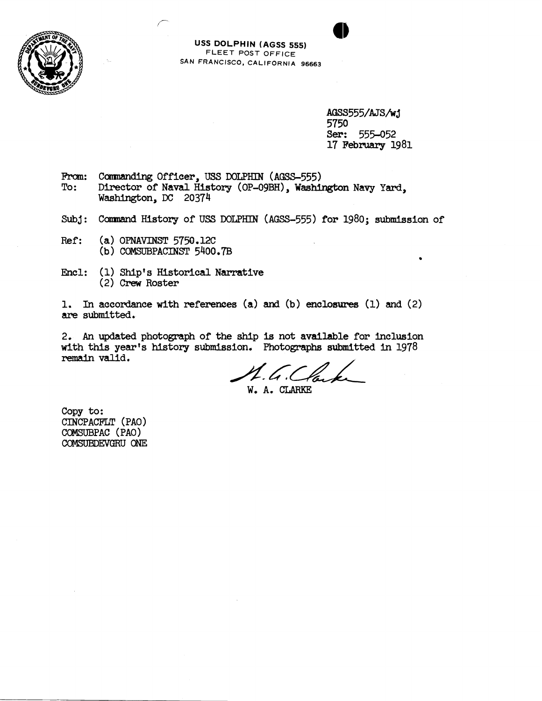



AGSS555/AJS/wj 5750 Ser: 555-052 17 February 1981

- From: Commanding Officer, USS DOLPHIN (AGSS-555)<br>To: Director of Naval History (OP-09BH). Washi Director of Naval History (OP-O9BH), Washington Navy Yard, Washington, **DC** 20374
- Subj: Command History of USS DOLPHIN (AGSS-555) for 1980; submission of
- Ref: (a) **OPNAmST** 5750.12C **(b) COMSUBPACINST 5400,7B**
- Encl: **(I,)** Ship's Historical Narrative **(2)** Crew Roster

r

1. In accordance with references (a) and (b) enclosures (1) and (2) are submitted.

2, **An updated** photograph of the ship **is** not available for inclusion vdth this year's history submission, Photographs **submitted** in **<sup>1978</sup>** remain **valid.** 

W. A. CLARKE

Copy **to:**  CINCPACFLT (PAO) COMSUBPAC (PAO) COMSUBDEVGRU ONE